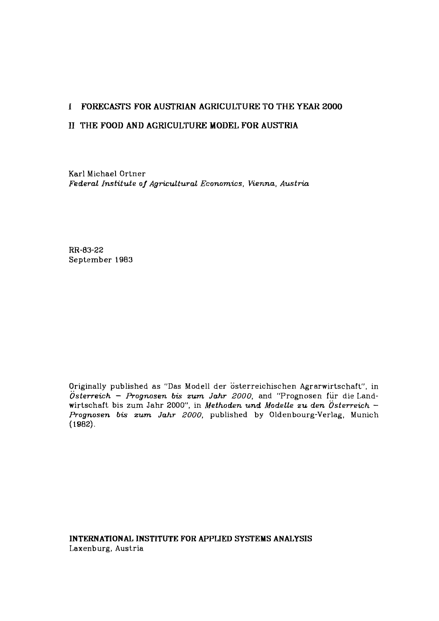# **I** FORECASTS FOR AUSTRIAN AGRICULTURE TO THE YEAR 2000

# **I1** THE FOOD AND AGRICULTURE MODEL FOR AUSTRIA

Karl Michael Ortner *Federal Institute of Agricultural Economics, Vienna, Austria* 

RR-83-22 September 1983

Originally published as "Das Modell der österreichischen Agrarwirtschaft", in *~sterreich* - *Prognosen* **bis** *zum Jahr* **2000,** and "Prognosen fiir die Landwirtschaft bis zum Jahr 2000", in *Methoden und Modelle zu den Österreich* -*Prognosen* **bis** *zum Jahr* **2000,** published by Oldenbourg-Verlag, Munich (1982).

INTERNATIONAL INSTITUTE FOR APPLIED SYSTEMS ANALYSIS Laxenburg, Austria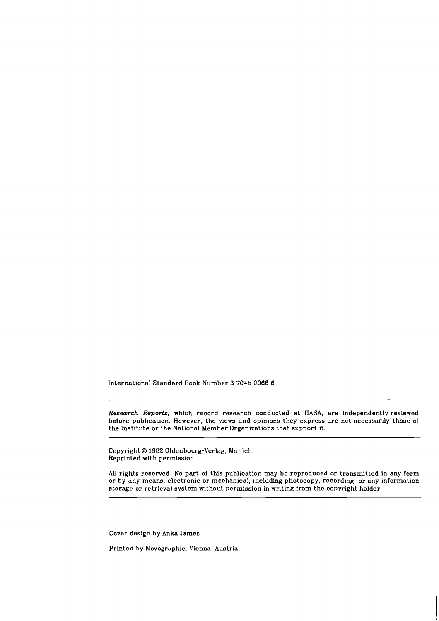International Standard Book Number **3-7045-0066-6** 

*Research Repods.* which record research conducted at IIASA, are independently reviewed before publication. However, the views and opinions they express are not necessarily those of the Institute or the National Member Organizations that support it.

Copyright O 1982 Oldenbourg-Verlag, Munich. Reprinted with permission.

All rights resewed. No part of this publication may be reproduced or transmitted in any form or by any means. electronic or mechanical, including photocopy, recording, or any information storage or retrieval system without permission in writing from the copyright holder.

Cover design by Anka James

Printed by Novographic, Vienna. Austria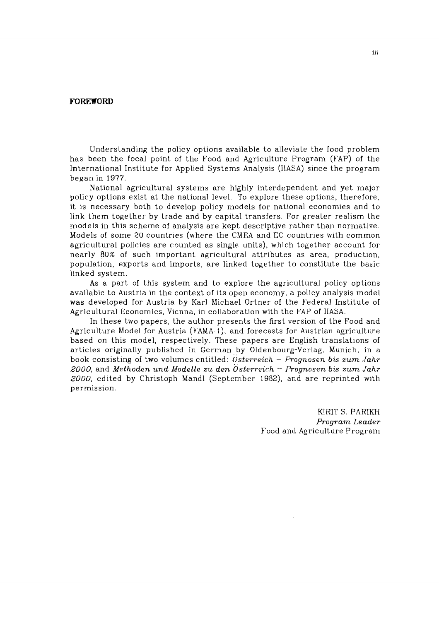### **FOREWORD**

Understanding the policy options available to alleviate the food problem has been the focal point of the Food and Agriculture Program (FAP) of the International Institute for Applied Systems Analysis (IlASA) since the program began in 1977.

National agricultural systems are highly interdependent and yet major policy options exist at the national level. To explore these options, therefore, it is necessary both to develop policy models for national economies and to link them together by trade and by capital transfers. For greater realism the models in this scheme of analysis are kept descriptive rather than normative. Models of some 20 countries (where the CMEA and EC countries with common agricultural policies are counted as single units), which together account for nearly 80% of such important agricultural attributes as area, production, population, exports and imports, are linked together to constitute the basic linked system.

As a part of this system and to explore the agricultural policy options available to Austria in the context of its open economy, a policy analysis model was developed for Austria by Karl Michael Ortner of the Federal Institute of Agricultural Economics, Vienna, in collaboration with the FAP of IIASA.

In these two papers, the author presents the first version of the Food and Agriculture Model for Austria (FAMA-I), and forecasts for Austrian agriculture based on this model, respectively. These papers are English translations of articles originaIly published in German by Oldenbourg-Verlag, Munich, in a book consisting of two volumes entitled: *Osterreich - Prognosen bis zum Jahr 2000,* and *Methoden und Modelle zu den Österreich - Prognosen bis zum Jahr 2000,* edited by Christoph Mandl (September 1982), and are reprinted with permission.

> KIRIT S. PARIKH *Program Leader*  Food and Agriculture Program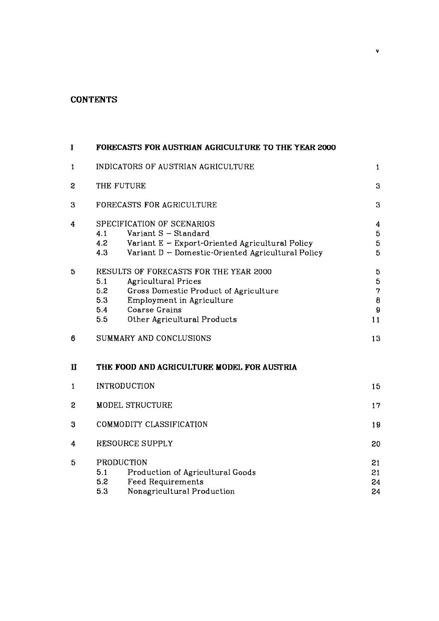# **CONTENTS**

| I |                                    | FORECASTS FOR AUSTRIAN AGRICULTURE TO THE YEAR 2000                                                                                                                                 |                                                  |  |
|---|------------------------------------|-------------------------------------------------------------------------------------------------------------------------------------------------------------------------------------|--------------------------------------------------|--|
| 1 | INDICATORS OF AUSTRIAN AGRICULTURE |                                                                                                                                                                                     | $\mathbf{1}$                                     |  |
| 2 | THE FUTURE                         |                                                                                                                                                                                     |                                                  |  |
| 3 | FORECASTS FOR AGRICULTURE          |                                                                                                                                                                                     | 3                                                |  |
| 4 | 4.1<br>4.2<br>4.3                  | SPECIFICATION OF SCENARIOS<br>Variant S - Standard<br>Variant E - Export-Oriented Agricultural Policy<br>Variant D - Domestic-Oriented Agricultural Policy                          | 4<br>$\mathbf 5$<br>$\overline{\mathbf{5}}$<br>5 |  |
| 5 | 5.1<br>5.2<br>5.3<br>5.4<br>5.5    | RESULTS OF FORECASTS FOR THE YEAR 2000<br>Agricultural Prices<br>Gross Domestic Product of Agriculture<br>Employment in Agriculture<br>Coarse Grains<br>Other Agricultural Products | 5<br>5<br>$\overline{7}$<br>$\pmb{8}$<br>9<br>11 |  |
| 6 |                                    | SUMMARY AND CONCLUSIONS                                                                                                                                                             | 13                                               |  |
| П |                                    | THE FOOD AND AGRICULTURE MODEL FOR AUSTRIA                                                                                                                                          |                                                  |  |
| 1 |                                    | <b>INTRODUCTION</b>                                                                                                                                                                 | 15                                               |  |
| S | <b>MODEL STRUCTURE</b>             |                                                                                                                                                                                     | 17                                               |  |
| 3 | COMMODITY CLASSIFICATION           |                                                                                                                                                                                     | 19                                               |  |
| 4 | <b>RESOURCE SUPPLY</b>             |                                                                                                                                                                                     | 20                                               |  |
| 5 | 5.1<br>5.2<br>5.3                  | PRODUCTION<br>Production of Agricultural Goods<br><b>Feed Requirements</b><br>Nonagricultural Production                                                                            | 21<br>21<br>24<br>24                             |  |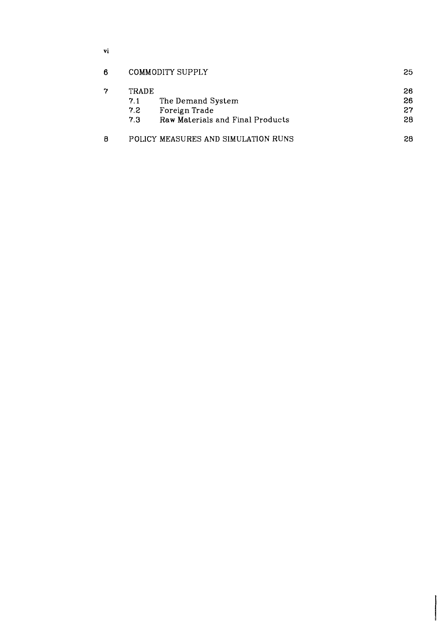$\mathbf{vi}$ 

| В | COMMODITY SUPPLY |                                     | 25 |  |
|---|------------------|-------------------------------------|----|--|
|   | <b>TRADE</b>     |                                     | 26 |  |
|   | 7.1              | The Demand System                   | 26 |  |
|   | 7.2              | Foreign Trade                       | 27 |  |
|   | 73               | Raw Materials and Final Products    | 28 |  |
| 8 |                  | POLICY MEASURES AND SIMULATION RUNS | 28 |  |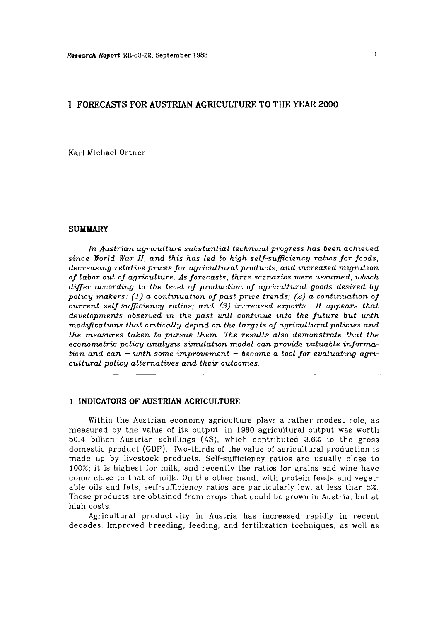### **I FORECASTS FOR AUSTRIAN AGRICULTURE TO THE YEAR 2000**

Karl Michael Ortner

### **SUMMARY**

*In Austrian agriculture substantial technical progress has been achieved since World War 11, and this has led to high self-suficiency ratios for foods. decreasing relative prices for agricultural products, and increased migration of labor out of agriculture. As forecasts, three scenarios were assumed, which differ according to the level of production of agricultural goods desired by*  policy makers: (1) a continuation of past price trends; (2) a continuation of *current self-sufficiency ratios; and (3) increased ezports. It appears that developments observed in the past will continue into the future but with modifications that critically depnd on the targets of agricultural policies and the measures taken to pursue them. The results also demonstrate that the econometric policy analysis simulation model can provide valuable information and can* - *with some improvement* - *become a tool for evaluating agricultural policy alternatives and their outcomes.* 

### **1 INDICATORS OF AUSTRIAN AGRICULTURE**

Within the Austrian econoiny agriculture plays a rather modest role, as measured by the value of its output. In 1980 agricultural output was worth 50.4 billion Austrian schillings (AS), which contributed 3.6% to the gross domestic product (GDP). Two-thirds of the value of agricultural production is made up by livestock products. Self-sufficiency ratios are usually close to 100%; it is highest for milk, and recently the ratios for grains and wine have come close to that of milk. On the other hand, with protein feeds and vegetable oils and fats, self-sufficiency ratios are particularly low, at less than 5%. These products are obtained from crops that could be grown in Austria, but at high costs.

Agricultural productivity in Austria has increased rapidly in recent decades. Improved breeding, feeding, and fertilization techniques, as well as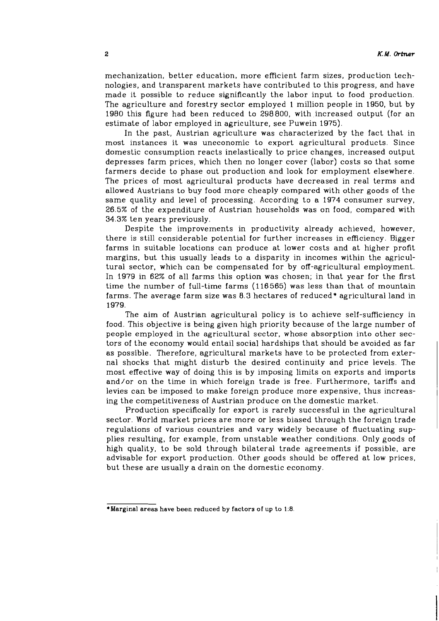mechanization, better education, more efficient farm sizes, production technologies, and transparent markets have contributed to this progress, and have made it possible to reduce significantly the labor input to food production. The agriculture and forestry sector employed 1 million people in 1950, but by 1980 this figure had been reduced to 298800, with increased output (for an estimate of labor employed in agriculture, see Puwein 1975).

In the past, Austrian agriculture was characterized by the fact that in most instances it was uneconomic to export agricultural products. Since domestic consumption reacts inelastically to price changes, increased output depresses farm prices, which then no longer cover (labor) costs so that some farmers decide to phase out production and look for employment elsewhere. The prices of most agricultural products have decreased in real terms and allowed Austrians to buy food more cheaply compared with other goods of the same quality and level of processing. According to a 1974 consumer survey, 26.5% of the expenditure of Austrian households was on food, compared with 34.3% ten years previously.

Despite the improvements in productivity already achieved, however, there is still considerable potential for further increases in efficiency. Bigger farms in suitable locations can produce at lower costs and at higher profit margins, but this usually leads to a disparity in incomes within the agricultural sector, which can be compensated for by off-agricultural employment. In 1979 in 62% of all farms this option was chosen; in that year for the first time the number of full-time farms (116565) was less than that of mountain farms. The average farm size was 8.3 hectares of reduced\* agricultural land in 1979.

The aim of Austrian agricultural policy is to achieve self-sufficiency in food. This objective is being given high priority because of the large number of people employed in the agricultural sector, whose absorption into other sectors of the economy would entail social hardships that should be avoided as far as possible. Therefore, agricultural markets have to be protected from external shocks that might disturb the desired continuity and price levels. The most effective way of doing this is by imposing limits on exports and imports and/or on the time in which foreign trade is free. Furthermore, tariffs and levies can be imposed to make foreign produce more expensive, thus increasing the competitiveness of Austrian produce on the domestic market.

Production specifically for export is rarely successful in the agricultural sector. World market prices are more or less biased through the foreign trade regulations of various countries and vary widely because of fluctuating supplies resulting, for example, from unstable weather conditions. Only goods of high quality, to be sold through bilateral trade agreements if possible, are advisable for export production. Other goods should be offered at low prices, but these are usually a drain on the domestic economy.

<sup>\*</sup>Marginal areas have been reduced by factors of up to 1.8.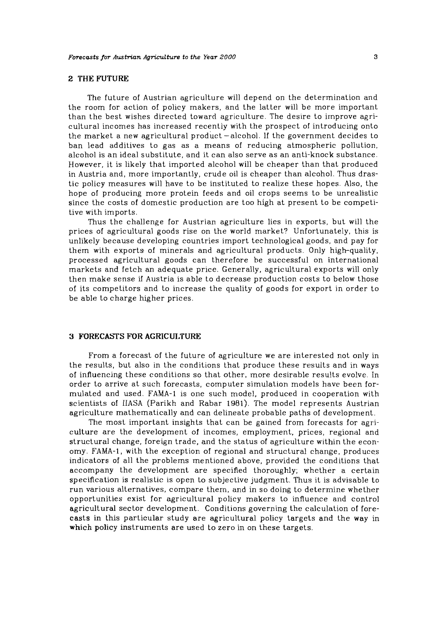### **2 THE FUTURE**

The future of Austrian agriculture will depend on the determination and the room for action of policy makers, and the latter will be more important than the best wishes directed toward agriculture. The desire to improve agricultural incomes has increased recently with the prospect of introducing onto the market a new agricultural product -alcohol. If the government decides to ban lead additives to gas as a means of reducing atmospheric pollution, alcohol is an ideal substitute, and it can also serve as an anti-knock substance. However, it is likely that imported alcohol will be cheaper than that produced in Austria and, more importantly, crude oil is cheaper than alcohol. Thus drastic policy measures will have to be instituted to realize these hopes. Also, the hope of producing more protein feeds and oil crops seems to be unrealistic since the costs of domestic production are too high at present to be competitive with imports.

Thus the challenge for Austrian agriculture lies in exports, but will the prices of agricultural goods rise on the world market? Unfortunately, this is unlikely because developing countries import technological goods, and pay for them with exports of minerals and agricultural products. Only high-quality, processed agricultural goods can therefore be successful on international markets and fetch an adequate price. Generally, agricultural exports will only then make sense if Austria is able to decrease production costs to below those of its competitors and to increase the quality of goods for export in order to be able to charge higher prices.

### **3 FORECASTS FOR AGRICUI.TURE**

From a forecast of the future of agriculture we are interested not only in the results, but also in the conditions that produce these results and in ways of influencing these conditions so that other, more desirable resu!ts evolve. In order to arrive at such forecasts, computer simulation models have been formulated and used. FAMA-1 is one such model, produced in cooperation with scientists of IIASA (Parikh and Rabar 1981). The model represents Austrian agriculture mathematically and can delineate probable paths of development.

The most important insights that can be gained from forecasts for agriculture are the development of incomes, employment, prices, regional and structural change, foreign trade, and the status of agriculture within the economy. FAMA-1, with the exception of regional and structural change. produces indicators of all the problems mentioned above, provided the conditions that accompany the development are specified thoroughly; whether a certain specification is realistic is open Lo subjective judgment. Thus it is advisable to run various alternatives, compare them, and in so doing to determine whether opportunities exist for agricultural policy makers to influence and control agricultural sector development. Conditions governing the calculation of forecasts in this particular study are agricultural policy targets and the way in which policy instruments are used to zero in on these targets.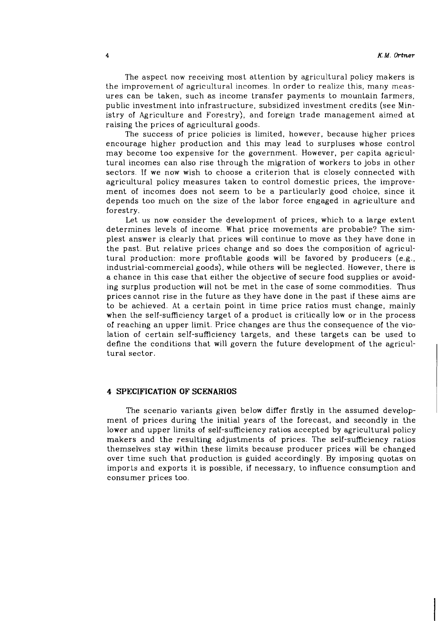The aspect now receiving most attention by agricultural policy makers is the improvement of agricultural incomes. In order to realize this, many measures can be taken, such as income transfer payments to mountain farmers, public investment into infrastructure, subsidized investment credits (see Ministry of Agriculture and Forestry), and foreign trade management aimed at raising the prices of agricultural goods.

The success of price policies is limited, however, because higher prices encourage higher production and this may lead to surpluses whose control may become too expensive for the government. However, per capita agricultural incomes can also rise through the migration of workers to jobs in other sectors. If we now wish to choose a criterion that is closely connected with agricultural policy measures taken to control domestic prices, the improvement of incomes does not seem to be a particularly good choice, since it depends too much on the size of the labor force engaged in agriculture and forestry.

Let us now consider the development of prices, which to a large extent determines levels of income. What price movements are probable? The simplest answer is clearly that prices will continue to move as they have done in the past. But relative prices change and so does the composition of agricultural production: more profitable goods will be favored by producers (e.g., industrial-commercial goods), while others will be neglected. However, there is a chance in this case that either the objective of secure food supplies or avoiding surplus production will not be met in the case of some commodities. Thus prices cannot rise in the future as they have done in the past if these aims are to be achieved. At a certain point in time price ratios must change, mainly when the self-sufficiency target of a product is critically low or in the process of reaching an upper limit. Price changes are thus the consequence of the violation of certain self-sufficiency targets, and these targets can be used to define the conditions that will govern the future development of the agricultural sector.

#### **4 SPECIFICATION OF SCENARIOS**

The scenario variants given below differ firstly in the assumed development of prices during the initial years of the forecast, and secondly in the lower and upper limits of self-sufficiency ratios accepted by agricultural policy makers and the resulting adjustments of prices. The self-sufficiency ratios themselves stay within these limits because producer prices will be changed over time such that production is guided accordingly. By imposing quotas on imports and exports it is possible, if necessary, to influence consumption and consumer prices too.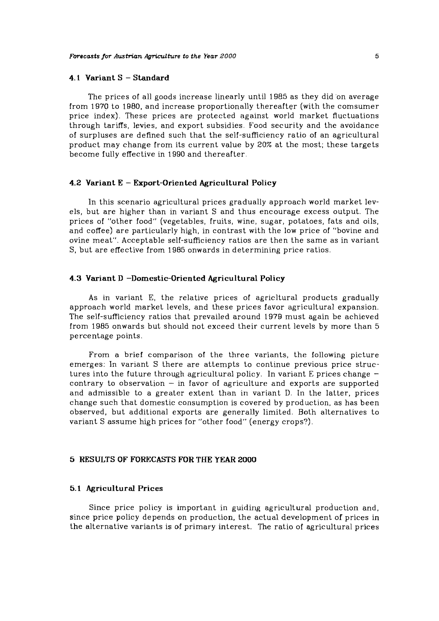### **4.1 Variant S** - **Standard**

The prices of all goods increase linearly until 1985 as they did on average from 1970 to 1980, and increase proportionally thereafter (with the comsumer price index). These prices are protected against world market fluctuations through tariffs, levies, and export subsidies. Food security and the avoidance of surpluses are defined such that ihe self-sufficiency ratio of an agricultural product may change from its current value by 20% at the most; these targets become fully effective in 1990 and thereafter.

### **4.2 Variant E** - **Export-Oriented Agricultural Policy**

In this scenario agricultural prices gradually approach world market levels, but are higher than in variant S and thus encourage excess output. The prices of "other food" (vegetables, fruits, wine, sugar, potatoes, fats and oils, and coffee) are particularly high, in contrast with the low price of "bovine and ovine meat". Acceptable self-sufficiency ratios are then the same as in variant S, but are effective from 1985 onwards in determining price ratios.

#### **4.3 Variant D -Domestic-Oriented Agricultural Policy**

As in variant E, the relative prices of agricltural products gradually approach world market levels, and these prices favor agricultural expansion. The self-sufficiency ratios that prevailed around 1979 must again be achieved from 1985 onwards but should not exceed their current levels by more than 5 percentage points.

From a brief comparison of the three variants, the following picture emerges: In variant S there are attempts to continue previous price structures into the future through agricultural policy. In variant E prices change  $-\text{contrary}$  to observation  $-\text{ in favor}$  of agriculture and exports are supported and admissible to a greater extent than in variant D. In the latter, prices change such that domestic consumption is covered by production. as has been observed, but additional exports are generally limited. Both alternatives to variant S assume high prices for "other food" (energy crops?).

### *5* **RESULTS OF FORECASTS FOR THE YEAR 2000**

#### 5.1 **Ag:ricultural Prices**

Since price policy is important in guiding agricultural production and, since price policy depends on production, the actual development of prices in the alternative variants is of primary interest. The ratio of agricultural prices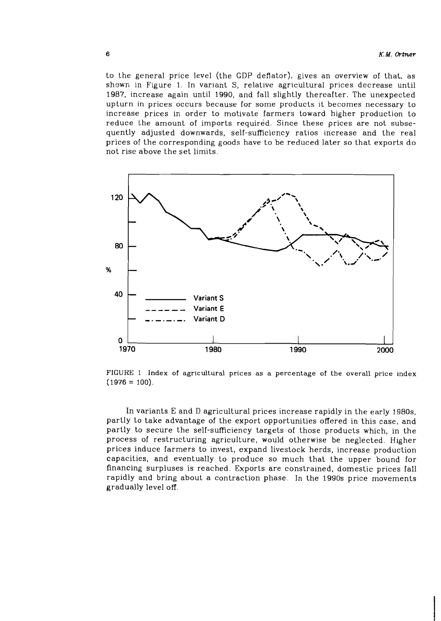to the general price level (the GDP deflator), gives an overview of that, as shown in Figure 1. In variant S, relative agricultural prices decrease until 1987, increase again until 1990, and fall slightly thereafter. The unexpected upturn in prices occurs because for some products it becomes necessary to increase prices in order to motivate farmers toward higher production to reduce the amount of imports required. Since these prices are not subsequently adjusted downwards, self-sufficiency ratios increase and the real prices of the corresponding goods have to be reduced later so that exports do not rise above the set limits.



FIGURE 1 Index of agricultural prices as a percentage of the overall price index  $(1976 = 100)$ .

In variants E and D agricultural prices increase rapidly in the early 1980s, partly to take advantage of the export opportunities offered in this case, and partly to secure the self-sufficiency targets of those products which, in the process of restructuring agriculture, would otherwise be neglected. Higher prices induce farmers to invest, expand livestock herds. increase production capacities, and eventually to produce so much that the upper bound for financing surpluses is reached. Exports are constrained, domestic prices fall rapidly and bring about a contraction phase. In the 1990s price movements gradually level off.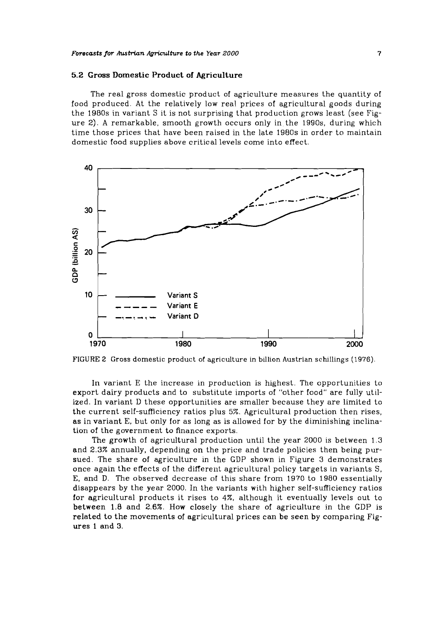#### **Forecasts for** Aushicm **Agriculture to the Year ZOO0**

#### **5.2 Gross Domestic Product of Agriculture**

The real gross domestic product of agriculture measures the quantity of food produced. At the relatively low real prices of agricultural goods during the 1980s in variant S it is not surprising that production grows least (see Figure 2). A remarkable, smooth growth occurs only in the 1990s, during which time those prices that have been raised in the late 1980s in order to maintain domestic food supplies above critical levels come into effect.





In variant E the increase in production is highest. The opportunities to export dairy products and to substitute imports of "other food" are fully utilized. In variant D these opportunities are smaller because they are limited to the current self-sufficiency ratios plus *5%.* Agricultural production then rises, as in variant E, but only for as long as is allowed for by the diminishing inclination of the government to finance exports.

The growth of agricultural production until the year 2000 is between 1.3 and 2.3% annually, depending on the price and trade policies then being pursued. The share of agriculture in the GDP shown in Figure 3 demonstrates once again the effects of the different agricultural policy targets in variants S, E, and D. The observed decrease of this share from 1970 to 1980 essentially disappears by the year 2000. In the variants with higher self-sufficiency ratios for agricultural products it rises to 4%, although it eventually levels out to between 1.8 and 2.6%. How cIosely the share of agriculture in the GDP is reIated to the movements of agricultural prices can be seen by comparing Figures 1 and 3.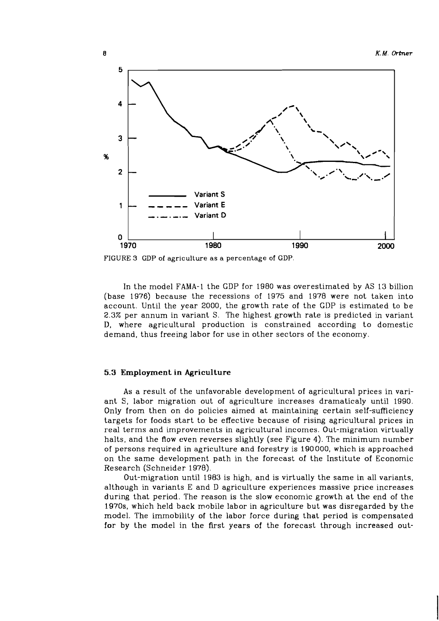

FIGURE **3** GDP of agriculture as a percentage of GDP.

In the model FAMA-1 the GDP for 1980 was overestimated by AS 13 billion (base 1976) because the recessions of 1975 and 1978 were not taken into account. Until the year 2000, the growth rate of the GDP is estimated to be 2.3% per annum in variant S. The highest growth rate is predicted in variant D, where agricultural production is constrained according to domestic demand, thus freeing labor for use in other sectors of the economy.

#### **5.3** Employment **in** Agriculture

**As** a result of the unfavorable development of agricultural prices in variant S, labor migration out of agriculture increases dramaticaly until 1990. Only from then on do policies aimed at maintaining certain self-sufficiency targets for foods start to be effective because of rising agricultural prices in real terms and improvements in agricultural incomes. Out-migration virtually halts, and the flow even reverses slightly (see Figure 4). The minimum number of persons required in agriculture and forestry is 190000, which is approached on the same development path in the forecast of the Institute of Economic Research (Schneider 1978).

Out-migration until 1983 is high, and is virtually the same in all variants, although in variants E and D agriculture experiences massive price increases during that period. The reason is the slow economic growth at the end of the 1970s, which held back mobile labor in agriculture but was disregarded by the model. The immobility of the labor force during that period is compensated for by the model in the first years of the forecast through increased out-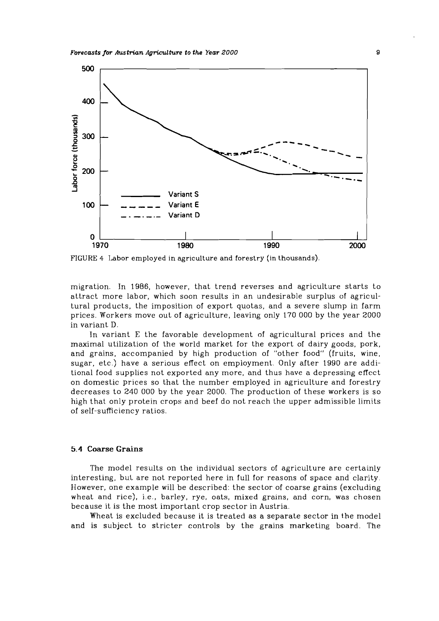

FIGURE 4 Labor employed in agriculture and forestry (in thousands).

migration. In 1986, however, that trend reverses and agriculture starts to attract more labor, which soon results in an undesirable surplus of agricultural products, the imposition of export quotas, and a severe slump in farm prices. Workers move out of agriculture, leaving only 1'70 000 by the year 2000 in variant D.

In variant E the favorable development of agricultural prices and the maximal utilization of the world market for the export of dairy goods, pork, and grains, accompanied by high production of "other food" (fruits, wine. sugar, etc.) have a serious effect on employment. Only after 1990 are additional food supplies not exported any more, and thus have a depressing effect on domestic prices so that the number employed in agriculture and forestry decreases to 240 000 by the year 2000. The production of these workers is so high that only protein crops and beef do not reach the upper admissible limits of self-sufficiency ratios.

#### **5.4 Coarse Grains**

The model results on the individual sectors of agriculture are certainly interesting, but are not reported here in full for reasons of space and clarity. However, one example will be described: the sector of coarse grains (excluding wheat and rice), i.e., barley, rye, oats, mixed grains, and corn, was chosen because it is the most important crop sector in Austria.

Wheat is excluded because it is treated as a separate sector in the model and is subject to stricter controls by the grains marketing board. The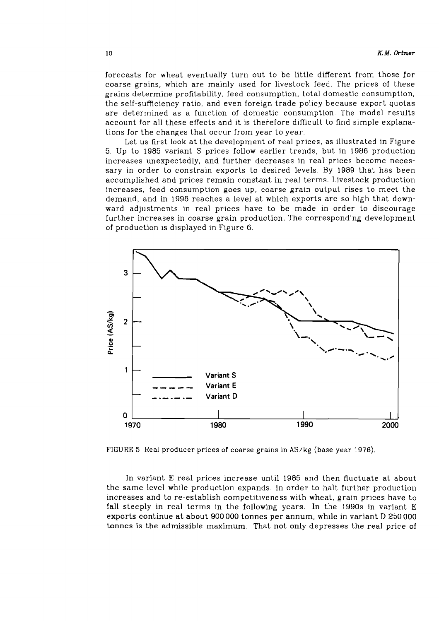forecasts for wheat eventually turn out to be little different from those for coarse grains, which are mainly used for livestock feed. The prices of these grains determine profitability, feed consumption, total domestic consumption, the self-sufficiency ratio, and even foreign trade policy because export quotas are determined as a function of domestic consumption. The model results account for all these effects and it is therefore difficult to find simple explanations for the changes that occur from year to year.

Let us first look at the development of real prices, as illustrated in Figure 5. Up to 1985 variant S prices follow earlier trends, but in 1986 production increases unexpectedly, and further decreases in real prices become necessary in order to constrain exports to desired levels. By 1989 that has been accomplished and prices remain constant in real terms. Livestock production increases, feed consumption goes up, coarse grain output rises to meet the demand, and in 1996 reaches a level at which exports are so high that downward adjustments in real prices have to be made in order to discourage further increases in coarse grain production. The corresponding development of production is displayed in Figure 6.



FIGURE *5* Real producer prices of coarse grains in **AS/kg** (base year 1976)

In variant E real prices increase until 1985 and then fluctuate at about the same level while production expands. In order to halt further production increases and to re-establish competitiveness with wheat, grain prices have to fall steeply in real terms in the following years. In the 1990s in variant E exports continue at about 900 000 tonnes per annum, while in variant D 250 000 tonnes is the admissible maximum. That not only depresses the real price of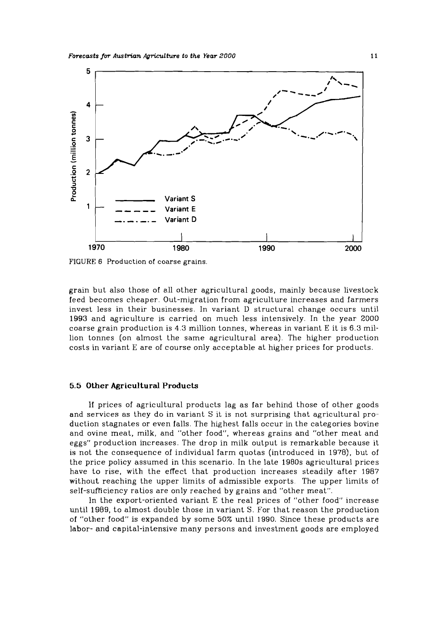

FIGURE 6 Production of coarse grains.

grain but also those of all other agricultural goods, mainly because livestock feed becomes cheaper. Out-mjgration from agriculture increases and farmers invest less in their businesses. In variant D structural change occurs until 1993 and agriculture is carried on much less intensively. In the year 2000 coarse grain production is 4.3 million tonnes, whereas in variant E it is 6.3 million tonnes (on almost the same agricultural area). The higher production costs in variant E are of course only acceptable at higher prices for products.

#### *5.5* **Other Agricultural Products**

If prices of agricultural products lag as far behind those of other goods and services as they do in variant S it is not surprising that agricultural production stagnates or even falls. The highest falls occur in the categories bovine and ovine meat, milk, and "other food", whereas grains and "other meat and eggs" production increases. The drop in milk output is remarkable because it is not the consequence of individual farm quotas (introduced in 1978), but of the price policy assumed in this scenario. In the late 1980s agricultural prices have to rise, with the effect that production increases steadily after 1987 without reaching the upper limits of admissible exports The upper limits of self-sufficiency ratios are only reached by grains and "other meat".

In the export-oriented variant E the real prices of "other food" increase until 1989, to almost double those in variant S. For that reason the production of "other food" is expanded by some 50% until 1990. Since these products are labor- and capital-intensive many persons and investment goods are employed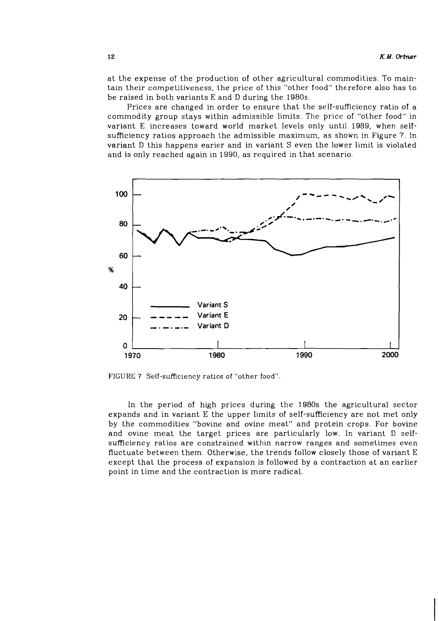at the expense of the production of other agricultural commodities. To maintain their competitiveness, the price of this "other food" therefore also has to be raised in both variants E and D during the 1980s.

Prices are changed in order to ensure that the self-sufficiency ratio of a commodity group stays within admissible limits. The price of "other food" in variant E increases toward world market levels only until 1989, when selfsufficiency ratios approach the admissible maximum, as shown in Figure 7. In variant D this happens earier and in variant S even the lower limit is violated and is only reached again in 1990, as required in that scenario.



FIGURE 7 Self-sufficiency ratios of "other food"

In the period of high prices during the 1980s the agricultural sector expands and in variant E the upper limits of self-sufficiency are not met only by the commodities "bovine and ovine meat" and protein crops. For bovine and ovine meat the target prices are particularly low. In variant D selfsufficiency ratios are constrained within narrow ranges and sometimes even fluctuate between them. Otherwise, the trends follow closely those of variant E except that the process of expansion is followed by a contraction at an earlier point in time and the contraction is more radical.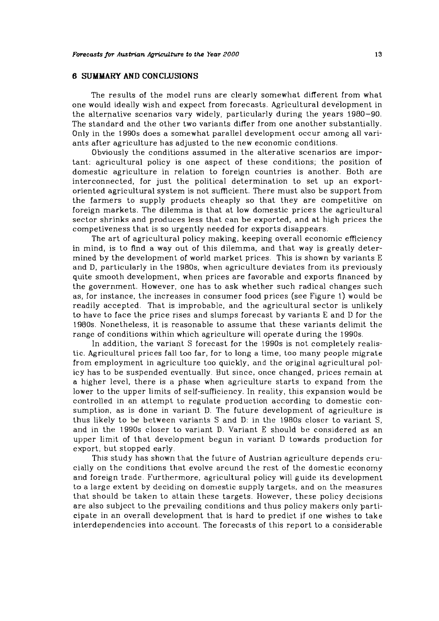### **6 SUMMARY AND CONCLUSIONS**

The results of the model runs are clearly somewhat different from what one would ideally wish and expect from forecasts. Agricultural development in the alternative scenarios vary widely, particularly during the years 1980-90. The standard and the other two variants differ from one another substantially. Only in the 1990s does a somewhat parallel development occur among all variants after agriculture has adjusted to the new economic conditions.

Obviously the conditions assumed in the alterative scenarios are important: agricultural policy is one aspect of these conditions; the position of domestic agriculture in relation to foreign countries is another. Both are interconnected, for just the political determination to set up an exportoriented agricultural system is not sufficient. There must also be support from the farmers to supply products cheaply so that they are competitive on foreign markets. The dilemma is that at low domestic prices the agricultural sector shrinks and produces less that can be exported, and at high prices the competiveness that is so urgently needed for exports disappears.

The art of agricultural policy making, keeping overall economic efficiency in mind, is to find a way out of this dilemma, and that way is greatly determined by the development of world market prices. This is shown by variants E and D, particularly in the 1980s, when agriculture deviates from its previously quite smooth development, when prices are favorable and exports financed by the government. However, one has to ask whether such radical changes such as, for instance. the increases in consumer food prices (see Figure 1) would be readily accepted. That is improbable, and the agricultural sector is unlikely to have to face the price rises and slumps forecast by variants E and D for the 1980s. Nonetheless, it is reasonable to assume that these variants delimit the range of conditions within which agriculture will operate during the 1990s.

In addition, the variant S forecast for the 1990s is not completely realistic. Agricultural prices fall too far, for to long a time, too many people migrate from employment in agriculture too quickly, and the original agricultural policy has to be suspended eventually. But since, once changed, prices remain at a higher level, there is a phase when agriculture starts to expand from the lower to the upper limits of self-sufficiency. In reality, this expansion would be controlled in an attempt to regulate production according to domestic consumption, as is done in variant D. The future development of agriculture is thus likely to be between variants S and D: in the 1980s closer to variant S, and in the 1990s closer to variant D. Variant E should be considered as an upper limit of that development begun in variant D towards production for export, but stopped early.

This study has shown that the future of Austrian agriculture depends crucially on the conditions that evolve arcund the rest of the domestic economy and foreign trade. Furthermore, agricultural policy will guide its development to a large extent by deciding on domestic supply targets, and on the measures that should be taken to attain these targets. However, these policy decisions are also subject to the prevailing conditions and thus policy makers only participate in an overall development that is hard to predict if one wishes to take interdependencies into account. The forecasts of this report to a considerable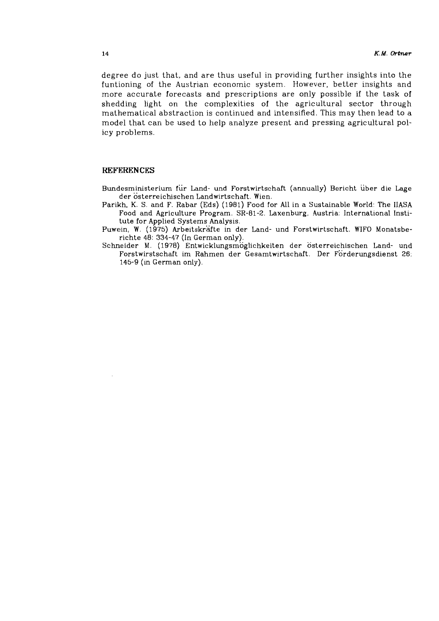degree do just that, and are thus useful in providing further insights into the funtioning of the Austrian economic system. However, better insights and more accurate forecasts and prescriptions are only possible if the task of shedding light on the complexities of the agricultural sector through mathematical abstraction is continued and intensified. This may then lead to a model that can be used to help analyze present and pressing agricultural policy problems.

### **REFERENCES**

Bundesministerium für Land- und Forstwirtschaft (annually) Bericht über die Lage der österreichischen Landwirtschaft. Wien.

- Parikh, K. S. and F. Rabar (Eds) (1981) Food for All in a Sustainable World: The IIASA Food and Agriculture Program. SR-81-2. Laxenburg, Austria: International Institute for Applied Systems Analysis.
- Puwein, W. (1975) Arbeitskrafte in der Land- und Forstwirtschaft. WIFO Monatsberichte 48: 334-47 (In German only).
- Schneider M. (1978) Entwicklungsmoglichkeiten der osterreichischen Land- und Forstwirstschaft im Rahmen der Gesamtwirtschaft. Der Forderungsdienst 26:  $145-9$  (in German only).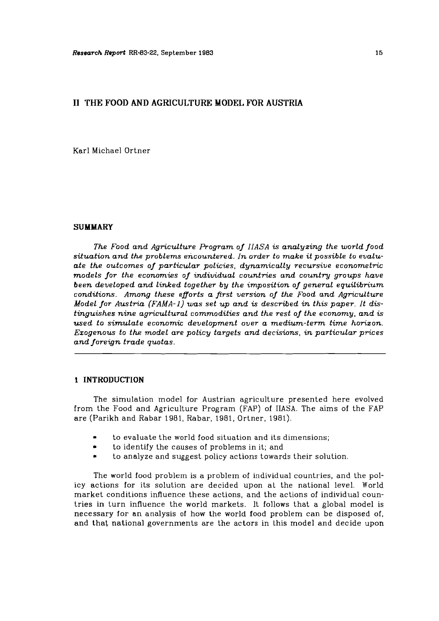### **I1 THE FOOD AND AGRICULTURE MODEL FOR AUSTRIA**

Karl Michael Ortner

#### **SUMMARY**

*The Food and Agriculture Program of IIASA is analyzing the world food situation and the problems encountered. In order to make it possible to evaluate the outcomes of particular policies, dynamically recursive econometric models for the economies of individual countries and country groups have been developed and linked together by the imposition of general equilibrium conditions. Among these efforts a first version of the Food and Agriculture Model for Austria (FAMA-1) was set up and* **is** *described in this paper. It distinguishes nine agricultural commodities and the rest of the economy, and is used to simulate economic development over a medium-term time horizon. Exogenous to the model are policy targets and decisions, in particular prices and foreign trade quotas.* 

#### **1 INTRODUCTION**

The simulation model for Austrian agriculture presented here evolved from the Food and Agriculture Program (FAP) of IIASA. The aims of the FAP are (Parikh and Rabar 1981, Rabar, 1981, Ortner, 1981).

- to evaluate the world food situation and its dimensions;
- to identify the causes of problems in it; and  $\bullet$
- to analyze and suggest policy actions towards their solution  $\bullet$

The world food problem is a problem of individual countries, and the policy actions for its solution are decided upon at the national level. World market conditions influence these actions, and the actions of individual countries in turn influence the world markets. It follows that a global model is necessary for an analysis of how the world food problem can be disposed of, and that national governments are the actors in this model and decide upon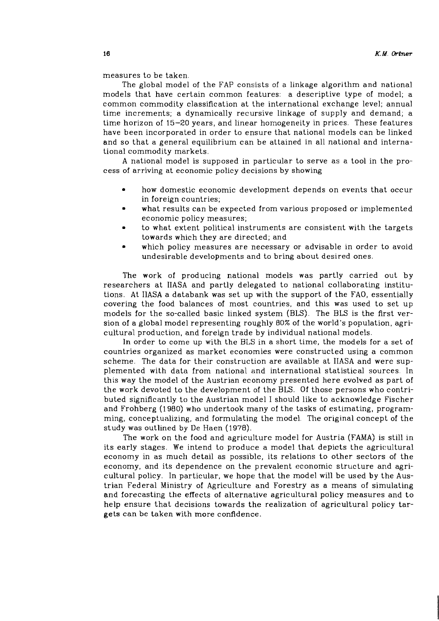measures to be taken.

The global model of the FAP consists of a linkage algorithm and national models that have certain common features: a descriptive type of model; a common commodity classification at the international exchange level; annual time increments; a dynamically recursive linkage of supply and demand; a time horizon of 15-20 years, and linear homogeneity in prices. These features have been incorporated in order to ensure that national models can be linked and so that a general equilibrium can be attained in all national and international commodity markets.

A national model is supposed in particular to serve as a tool in the process of arriving at economic policy decisions by showing

- $\bullet$ how domestic economic development depends on events that occur in foreign countries;
- what results can be expected from various proposed or implemented economic policy measures;
- to what extent political instruments are consistent with the targets towards which they are directed; and
- which policy measures are necessary or advisable in order to avoid undesirable developments and to bring about desired ones.

The work of producing national models was partly carried out by researchers at IIASA and partly delegated to national collaborating institutions. At IIASA a databank was set up with the support of the FAO, essentially covering the food balances of most countries, and this was used to set up models for the so-called basic linked system (BLS). The BLS is the first version of a global model representing roughly 80% of the world's population, agricultural production, and foreign trade by individual national models.

In order to come up with the BLS in a short time, the models for a set of countries organized as market economies were constructed using a common scheme. The data for their construction are available at IIASA and were supplemented with data from national and international statistical sources. In this way the model of the Austrian economy presented here evolved as part of the work devoted to the development of the BLS. Of those persons who contributed significantly to the Austrian model I should like to acknowledge Fischer and Frohberg (1980) who undertook many of the tasks of estimating, programming, conceptualizing, and formulating the model. The original concept of the study was outlined by De Haen (1978).

The work on the food and agriculture model for Austria (FAMA) is still in its early stages. We intend to produce a model that depicts the agricultural economy in as much detail as possible, its relations to other sectors of the economy, and its dependence on the prevalent economic structure and agricultural policy. In particular, we hope that the model will be used by the Austrian Federal Ministry of Agriculture and Forestry as a means of simulating and forecasting the effects of alternative agricultural policy measures and to help ensure that decisions towards the realization of agricultural policy targets can be taken with more confidence.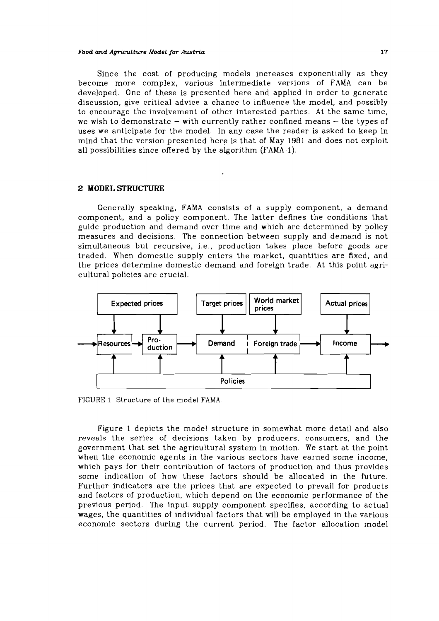#### *Food and Agnculhtre Model for Austria* **17**

Since the cost of producing models increases exponentially as they become more complex, various intermediate versions of FAMA can be developed. One of these is presented here and applied in order to generate discussion, give critical advice a chance to influence the model, and possibly to encourage the involvement of other interested parties. At the same time, we wish to demonstrate  $-$  with currently rather confined means  $-$  the types of uses we anticipate for the model. In any case the reader is asked to keep in mind that the version presenied here is that of May 1981 and does not exploit all possibilities since offered by the algorithm (FAMA-1).

#### **2 MODEL STRUCTURE**

Generally speaking, FAMA consists of a supply component, a demand component, and a policy component. The latter defines the conditions that guide production and demand over time and which are determined by policy measures and decisions. The connection between supply and demand is not simultaneous but recursive, i.e., production takes place before goods are traded. When domestic supply enters the market, quantities are Axed, and the prices determine domestic demand and foreign trade. At this point agricultural policies are crucial.



FIGURE 1 Structure of the model **FAMA.** 

Figure 1 depicts the model structure in somewhat more detail and also reveals the series of decisions taken by producers, consumers, and the government that set the agricultural system in motion. We start at the point when the economic agents in the various sectors have earned some income, which pays for their contribution of factors of production and thus provides some indication of how these factors should be allocated in the future. Further indicators are the prices that are expected to prevail for products and factors of production, which depend on the economic performance of the previous period. The input supply component specifies, according to actual wages, the quantities of individual factors that will be employed in the various economic sectors during the current period. The factor allocation model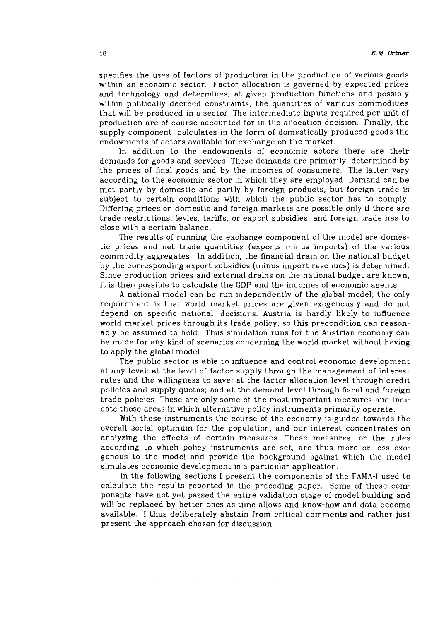specifies the uses of factors of production in the production of various goods within an economic sector. Factor allocation is governed by expected prices and technology and determines, at given production functions and possibly within politically decreed constraints, the quantities of various commodities that will be produced in a sector. The intermediate inputs required per unit of production are of course accounted for in the allocation decision. Finally, the supply component calculates in the form of domestically produced goods the endowments of actors available for exchange on the market.

In addition to the endowments of economic actors there are their demands for goods and services. These demands are primarily determined by the prices of final goods and by the incomes of consumers. The latter vary according to the economic sector in which they are employed. Demand can be met partly by domestic and partly by foreign products, but foreign trade is subject to certain conditions with which the public sector has to comply. Differing prices on domestic and foreign markets are possible only if there are trade restrictions, levies, tariffs, or export subsidies, and foreign trade has to close with a certain balance.

The results of running the exchange component of the model are domestic prices and net trade quantities (exports minus imports) of the various commodity aggregates. In addition, the financial drain on the national budget by the corresponding export subsidies (minus import revenues) is determined. Since production prices and external drains on the national budget are known, it is then possible to calculate the GDP and the incomes of economic agents.

**A** national model can be run independently of the global model; the only requirement is that world market prices are given exogenously and do not depend on specific national decisions. Austria is hardly likely to influence world market prices through its trade policy, so this precondition can reasonably be assumed to hold. Thus simulation runs for the Austrian economy can be made for any kind of scenarios concerning the world market without having to apply the global model.

The public sector is able to influence and control economic development at any level: at the level of factor supply through the management of interest rates and the willingness to save; at the factor allocation level through credit policies and supply quotas; and at the demand level through fiscal and foreign trade policies These are only some of the most important measures and indicate those areas in which alternative policy instruments primarily operate.

With these instruments the course of the economy is guided towards the overall social optimum for the population, and our interest concentrates on analyzing the effects of certain measures. These measures, or the rules according to which policy instruments are set, are thus more or less exogenous to the model and provide the background against which the model simulates economic development in a particular application.

In the following sections I present the components of the FAMA-I used to calculate the results reported in the preceding paper. Some of these components have not yet passed the entire validation stage of model building and will be replaced by better ones as time allows and know-how and data become available. 1 thus deliberately abstain from critical comments and rather just present the approach chosen for discussion.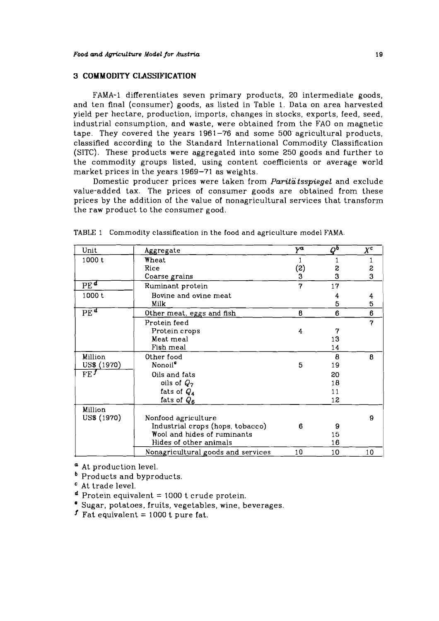### **3 COMMODITY CLASSIFICATION**

**FAMA-1** differentiates seven primary products, 20 intermediate goods, and ten final (consumer) goods, as listed in Table 1. Data on area harvested yield per hectare, production, imports, changes in stocks, exports, feed, seed, industrial consumption, and waste, were obtained from the F'AO on magnetic tape. They covered the years 1961-76 and some 500 agricultural products, classified according to the Standard International Commodity Classiflcation (SITC). These products were aggregated into some 250 goods and further to the commodity groups listed, using content coefficients or average world market prices in the years 1969-71 as weights.

Domestic producer prices were taken from **Paritatsspiegel** and exclude value-added tax. The prices of consumer goods are obtained from these prices by the addition of the value of nonagricultural services that transform the raw product to the consumer good.

| Unit                     | Aggregate                          | $Y^a$ | $Q^{\mathbf{b}}$ | $X^{\mathbf{c}}$ |
|--------------------------|------------------------------------|-------|------------------|------------------|
| 1000 t                   | Wheat                              |       |                  |                  |
|                          | Rice                               | (2)   | S                | S                |
|                          | Coarse grains                      | 3     | 3                | 3                |
| $\overline{PE^d}$        | Ruminant protein                   | 7     | 17               |                  |
| 1000t                    | Bovine and ovine meat              |       | 4                | 4                |
|                          | Milk                               |       | 5                | 5                |
| $\overline{\text{PE}}^d$ | Other meat, eggs and fish          | 8     | 6                | 6                |
|                          | Protein feed                       |       |                  | 7                |
|                          | Protein crops                      | 4     | 7                |                  |
|                          | Meat meal                          |       | 13               |                  |
|                          | Fish meal                          |       | 14               |                  |
| Million                  | Other food                         |       | 8                | 8                |
| US\$ (1970)              | Nonoil <sup>e</sup>                | 5     | 19               |                  |
| FE <sup>f</sup>          | Oils and fats                      |       | 20               |                  |
|                          | oils of $Q_7$                      |       | 18               |                  |
|                          | fats of $Q_4$                      |       | 11               |                  |
|                          | fats of $Q_6$                      |       | 12               |                  |
| Million                  |                                    |       |                  |                  |
| US\$ (1970)              | Nonfood agriculture                |       |                  | 9                |
|                          | Industrial crops (hops, tobacco)   | 6     | 9                |                  |
|                          | Wool and hides of ruminants        |       | 15               |                  |
|                          | Hides of other animals             |       | 16               |                  |
|                          | Nonagricultural goods and services | 10    | 10               | 10               |

TABLE 1 Commodity classification in the food and agriculture model FAMA.

**a** At production level.

**b** Products and byproducts.

At trade level.

 $\sigma$  Protein equivalent = 1000 t crude protein.

Sugar, potatoes, fruits, vegetables, wine, beverages.

**f** Fat equivalent  $= 1000$  t pure fat.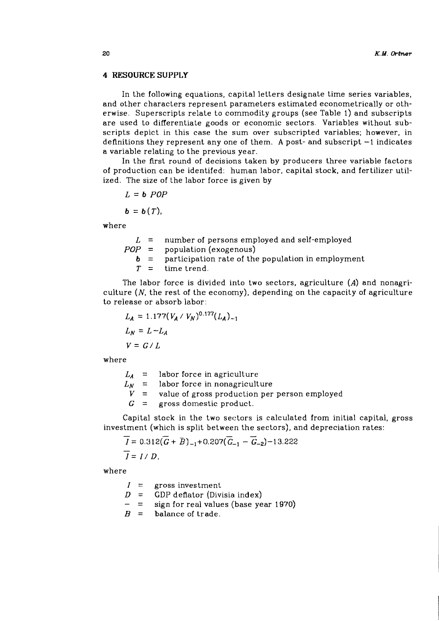#### **4 RESOURCE SUPPLY**

In the following equations, capital letters designate time series variables, and other characters represent parameters estimated econometrically or otherwise. Superscripts relate to commodity groups (see Table 1) and subscripts are used to differentiate goods or economic sectors. Variables without subscripts depict in this case the sum over subscripted variables; however, in definitions they represent any one of them. **A** post- and subscript -1 indicates a variable relating to the previous year.

In the first round of decisions taken by producers three variable factors of production can be identifed: human labor, capital stock, and fertilizer utilized. The size of the labor force is given by

$$
L = b \; POP
$$

$$
\mathbf{b} = \mathbf{b}(T),
$$

where

 $L =$  number of persons employed and self-employed  $POP = population (exogenous)$ **b** = participation rate of the population in employment  $T =$  time trend. time trend.

The labor force is divided into two sectors, agriculture **(A)** and nonagriculture  $(N,$  the rest of the economy), depending on the capacity of agriculture to release or absorb labor:

$$
L_A = 1.177(V_A / V_N)^{0.177} (L_A)_{-1}
$$
  
\n
$$
L_N = L - L_A
$$
  
\n
$$
V = G / L
$$

where

 $L_A$  = labor force in agriculture

 $L_N$  = labor force in nonagriculture<br> $V$  = value of gross production per

value of gross production per person employed

 $G =$  gross domestic product.

Capital stock in the two sectors is calculated from initial capital, gross investment (which is split between the sectors), and depreciation rates:

$$
\overline{I} = 0.312(\overline{G} + \overline{B})_{-1} + 0.207(\overline{G}_{-1} - \overline{G}_{-2}) - 13.222
$$
  

$$
\overline{I} = I/D,
$$

where

 $I =$  gross investment

 $D = GDP$  deflator (Divisia index)<br>- = sign for real values (base year 1970)

 $B =$  balance of trade.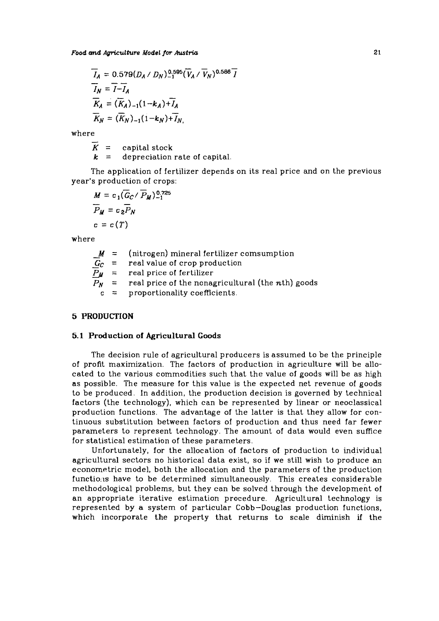$$
\overline{I}_A = 0.579(D_A \mid D_N)_{-1}^{0.595} (\overline{V}_A \mid \overline{V}_N)^{0.586} \overline{I}
$$
\n
$$
\overline{I}_N = \overline{I} - \overline{I}_A
$$
\n
$$
\overline{K}_A = (\overline{K}_A)_{-1} (1 - k_A) + \overline{I}_A
$$
\n
$$
\overline{K}_N = (\overline{K}_N)_{-1} (1 - k_N) + \overline{I}_N
$$

where

 $K =$ capital stock  $k =$  depreciation rate of capital.

The application of fertilizer depends on its real price and on the previous year's production of crops:

$$
M = c_1(\overline{G}_C/\overline{P}_M)^{0.725}
$$
  
\n
$$
\overline{P}_M = c_2\overline{P}_N
$$
  
\n
$$
c = c(T)
$$

where

| - |       |                                                           |
|---|-------|-----------------------------------------------------------|
|   |       | $M =$ (nitrogen) mineral fertilizer comsumption           |
|   |       | $G_C$ = real value of crop production                     |
|   |       | $P_M$ = real price of fertilizer                          |
|   |       | $P_N$ = real price of the nonagricultural (the nth) goods |
|   | $c =$ | proportionality coefficients.                             |

### *5* PRODUCTION

#### 5.1 Production **of** Agricultural **Goods**

The decision rule of agricultural producers is assumed to be the principle of profit maximization. The factors of production in agriculture will be allocated to the various commodities such that the value of goods will be as high as possible. The measure for this value is the expected net revenue of goods to be produced. In addition, the production decision is governed by technical factors (the technology), which can be represented by linear or neoclassical production functions. The advantage of the latter is that they allow for continuous substitution between factors of production and thus need far fewer parameters to represent technology. The amount of data would even suffice for statistical estimation of these parameters.

Unfortunately, for the allocation of factors of production to individual agricultural sectors no historical data exist, so if we still wish to produce an econometric model, both the allocation and the parameters of the production functions have to be determined simultaneously. This creates considerable methodological problems, but they can be solved through the development of an appropriate iterative estimation procedure. Agricultural technology is represented by a system of particular Cobb-Douglas production functions, which incorporate the property that returns to scale diminish if the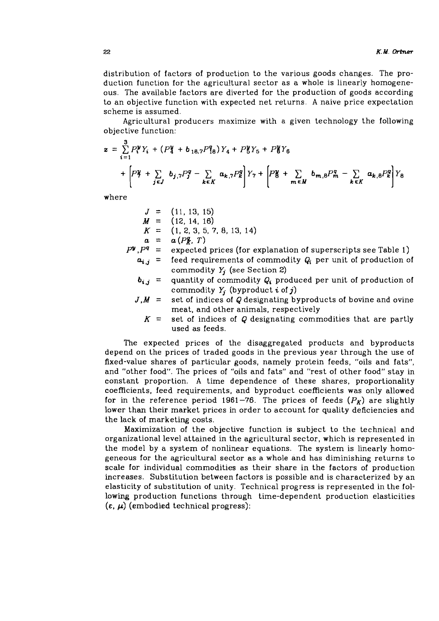distribution of factors of production to the various goods changes. The production function for the agricultural sector as a whole is linearly homogeneous. The available factors are diverted for the production of goods according to an objective function with expected net returns. A naive price expectation scheme is assumed.

Agricultural producers maximize with a given technology the following objective function:

$$
z = \sum_{i=1}^{3} P_{i}^{y} Y_{i} + (P_{4}^{y} + b_{18,7} P_{18}^{q}) Y_{4} + P_{5}^{y} Y_{5} + P_{6}^{y} Y_{6}
$$
  
+ 
$$
\left[ P_{7}^{y} + \sum_{j \in J} b_{j,7} P_{j}^{g} - \sum_{k \in K} a_{k,7} P_{k}^{g} \right] Y_{7} + \left[ P_{8}^{y} + \sum_{m \in M} b_{m,8} P_{m}^{g} - \sum_{k \in K} a_{k,8} P_{k}^{g} \right] Y_{8}
$$

where

$$
J = (11, 13, 15)
$$
  
\n
$$
M = (12, 14, 16)
$$
  
\n
$$
K = (1, 2, 3, 5, 7, 8, 13, 14)
$$
  
\n
$$
a = a(P_{\lambda}, T)
$$
  
\n
$$
P^q = \text{expected prices (for e)}
$$

- xplanation of superscripts see Table 1)  $a_{i,j}$  = feed requirements of commodity  $Q_i$  per unit of production of commodity  $Y_j$  (see Section 2)
	- quantity of commodity **Qi** produced per unit of production of commodity  $Y_i$  (byproduct *i* of *j*)
- $J.M =$ set of indices of Q designating byproducts of bovine and ovine meat, and other animals, respectively
	- $K =$ set of indices of Q designating commodities that are partly used as feeds.

The expected prices of the disaggregated products and byproducts depend on the prices of traded goods in the previous year through the use of fixed-value shares of particular goods, namely protein feeds, "oils and fats", and "other food". The prices of "oils and fats" and "rest of other food" stay in constant proportion. A time dependence of these shares, proportionality coefficients, feed requirements, and byproduct coefficients was only allowed for in the reference period 1961-76. The prices of feeds  $(P_K)$  are slightly lower than their market prices in order to account for quality deficiencies and the lack of marketing costs.

Maximization of the objective function is subject to the technical and organizational level attained in the agricultural sector, which is represented in the model by a system of nonlinear equations. The system is linearly hornogeneous for the agricultural sector as a whole and has diminishing returns to scale for individual commodities as their share in the factors of production increases. Substitution between factors is possible and is characterized by an elasticity of substitution of unity. Technical progress is represented in the following production functions through time-dependent production elasticities  $(\varepsilon, \mu)$  (embodied technical progress):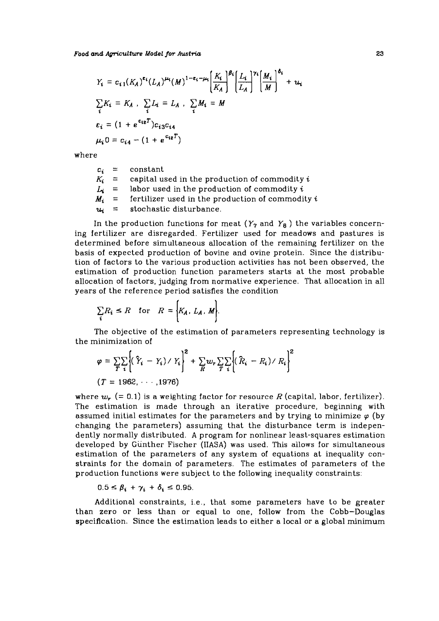*Food and Agriculture Model for Austria* 

$$
Y_i = c_{i1}(K_A)^{\epsilon_i}(L_A)^{\mu_i}(M)^{1-\epsilon_i-\mu_i}\left(\frac{K_i}{K_A}\right)^{\beta_i}\left(\frac{L_i}{L_A}\right)^{\gamma_i}\left(\frac{M_i}{M}\right)^{\delta_i} + u_i
$$
  
\n
$$
\sum_i K_i = K_A \quad \sum_i L_i = L_A \quad \sum_i M_i = M
$$
  
\n
$$
\epsilon_i = (1 + e^{\epsilon_i g}) c_{i3} c_{i4}
$$
  
\n
$$
\mu_i 0 = c_{i4} - (1 + e^{\epsilon_i g})
$$

where

| $K_i =$ | $L_i =$ | $c_i$ = constant<br>capital used in the production of commodity $i$<br>labor used in the production of commodity $i$ |
|---------|---------|----------------------------------------------------------------------------------------------------------------------|
|         | $M_i =$ | fertilizer used in the production of commodity i                                                                     |
|         | $u_i =$ | stochastic disturbance.                                                                                              |

In the production functions for meat  $(Y_7$  and  $Y_8$ ) the variables concerning fertilizer are disregarded. Fertilizer used for meadows and pastures is determined before simultaneous allocation of the remaining fertilizer on the basis of expected production of bovine and ovine protein. Since the distribution of factors to the various production activities has not been observed, the estimation of production function parameters starts at the most probable allocation of factors, judging from normative experience. That allocation in all years of the reference period satisfies the condition

$$
\sum_i R_i \le R \quad \text{for} \quad R = \Big\{ K_A, \ L_A, \ M \Big\}.
$$

The objective of the estimation of parameters representing technology is the minimization of

$$
\varphi = \sum_{T} \sum_{i} \left\{ (\hat{Y}_i - Y_i) / Y_i \right\}^2 + \sum_{R} w_r \sum_{T} \sum_{i} \left\{ (\hat{R}_i - R_i) / R_i \right\}^2
$$
  
(*T* = 1962, ··· .1976)

where  $w_r$  (= 0.1) is a weighting factor for resource *R* (capital, labor, fertilizer). The estimation is made through an iterative procedure, beginning with assumed initial estimates for the parameters and by trying to minimize  $\varphi$  (by changing the parameters) assuming that the disturbance term is independently normally distributed. A program for nonlinear least-squares estimation developed by Giinther Fischer (IIASA) was used. This allows for simultaneous estimation of the parameters of any system of equations at inequality constraints for the domain of parameters. The estimates of parameters of the production functions were subject to the following inequality constraints:

$$
0.5 \leq \beta_i + \gamma_i + \delta_i \leq 0.95.
$$

Additional constraints, i.e., that some parameters have to be greater than zero or less than or equal to one, follow from the Cobb-Douglas specification. Since the estimation leads to either a local or **a** global minimum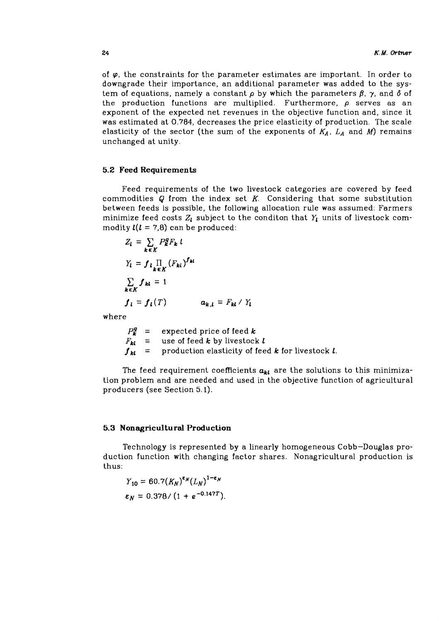of **9,** the constraints for the parameter estimates are important. In order to downgrade their importance, an additional parameter was added to the system of equations, namely a constant  $\rho$  by which the parameters  $\beta$ ,  $\gamma$ , and  $\delta$  of the production functions are multiplied. Furthermore,  $\rho$  serves as an exponent of the expected net revenues in the objective function and, since it was estimated at *0.784,* decreases the price elasticity of production. The scale elasticity of the sector (the sum of the exponents of  $K_A$ ,  $L_A$  and  $M$ ) remains unchanged at unity.

### **5.2 Feed Requirements**

Feed requirements of the two livestock categories are covered by feed commodities Q from the index set *K.* Considering that some substitution between feeds is possible, the following allocation rule was assumed: Farmers minimize feed costs  $Z_l$  subject to the conditon that  $Y_l$  units of livestock commodity  $l(l = 7,8)$  can be produced:

$$
Z_{l} = \sum_{k \in K} P_{k}^{g} F_{k} l
$$
  
\n
$$
Y_{l} = f_{l} \prod_{k \in K} (F_{kl})^{f_{kl}}
$$
  
\n
$$
\sum_{k \in K} f_{kl} = 1
$$
  
\n
$$
f_{l} = f_{l}(T) \qquad a_{k,l} = F_{kl} / Y_{l}
$$

where

 $P_k^g$  = expected price of feed k  $F_{kl}$  = use of feed **k** by livestock **l**  $f_{kl}$  = production elasticity of feed **k** for livestock **l**.

The feed requirement coefficients  $a_{kl}$  are the solutions to this minimization problem and are needed and used in the objective function of agricultural producers (see Section *5.1).* 

#### **5.3 Nonagricultural Production**

Technology is represented by a linearly homogeneous Cobb-Douglas production function with changing factor shares. Nonagricultural production is thus:

$$
Y_{10} = 60.7 (K_N)^{\epsilon_N} (L_N)^{1-\epsilon_N}
$$
  

$$
\epsilon_N = 0.378 / (1 + e^{-0.147T}).
$$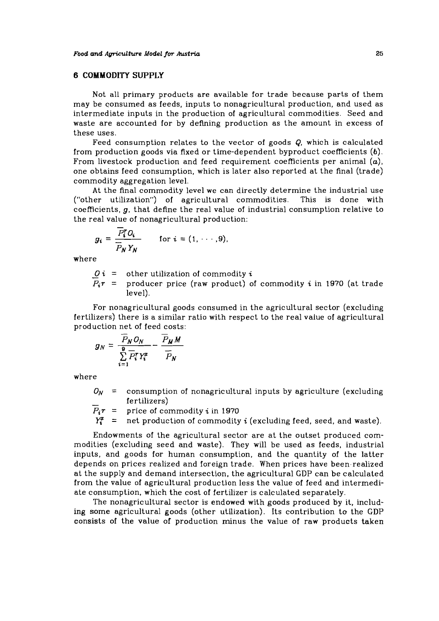### **6 COMMODITY SUPPLY**

Not all primary products are available for trade because parts of them may be consumed as feeds, inputs to nonagricultural production, and used as intermediate inputs in the production of agricultural commodities. Seed and waste are accounted for by defining production as the amount in excess of these uses.

Feed consumption relates to the vector of goods Q, which is calculated from production goods via fixed or time-dependent byproduct coefficients **(b).**  From livestock production and feed requirement coefficients per animal **(a),**  one obtains feed consumption, which is later also reported at the final (trade) commodity aggregation level.

At the final commodity level we can directly determine the industrial use ("other utilization") of agricultural commodities. This is done with coefficients, g, that define the real value of industrial consumption relative to the real value of nonagricultural production:<br>  $g_i = \frac{\overline{P_i^r} O_i}{\overline{P$ coefficients, *g,* that define the real value of industrial consumption relative to the real value of nonagricultural production:

$$
g_i = \frac{P_i^T O_i}{\overline{P}_N Y_N} \qquad \text{for } i = (1, \cdots, 9),
$$

where

 $0$ **i** = other utilization of commodity **i** 

 $P_i r$  = producer price (raw product) of commodity i in 1970 (at trade level).

For nonagricultural goods consumed in the agricultural sector (excluding fertilizers) there is a similar ratio with respect to the real value of agricultural production net of feed costs:<br>production net of feed costs:<br> $\overline{B}$ ....

$$
g_N = \frac{\overline{P}_N O_N}{\sum\limits_{i=1}^{\mathbf{p}} \overline{P}_i^T Y_i^2} - \frac{\overline{P}_M M}{\overline{P}_N}
$$

where

 $O_N$  = consumption of nonagricultural inputs by agriculture (excluding fertilizers)<br>  $P_n$  = nuise of commodity in 1979 *P<sub>i</sub>r* = fertilizers)<br>  $P_i r =$  price of commodity *i* in 1970<br>  $Y_i^x =$  net production of commodity

net production of commodity *i* (excluding feed, seed, and waste).

Endowments of the agricultural sector are at the outset produced commodities (excluding seed and waste). They will be used as feeds, industrial inputs, and goods for human consumption, and the quantity of the latter depends on prices realized and foreign trade. When prices have been.realized at the supply and demand intersection, the agricultural GDP can be calculated from the value of agricultural production less the value of feed and intermediate consumption, which the cost of fertilizer is calculated separately.

The nonagricultural sector is endowed with goods produced by it, includ**ing** some agricultural goods (other utilization). Its contribution to the GDP consists of the value of production minus the value of raw products taken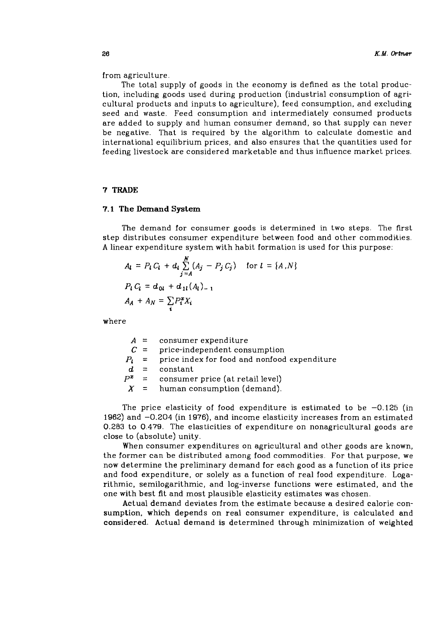from agriculture.

The total supply of goods in the economy is defined as the total production, including goods used during production (industrial consumption of agricultural products and inputs to agriculture), feed consumption, and excluding seed and waste. Feed consumption and intermediately consumed products are added to supply and human consumer demand, so that supply can never be negative. That is required by the algorithm to calculate domestic and international equilibrium prices, and also ensures that the quantities used for feeding livestock are considered marketable and thus influence market prices.

#### **7** TRADE

#### **7.1** The Demand System

The demand for consumer goods is determined in two steps. The first step distributes consumer expenditure between food and other commodilies. **A** linear expenditure system with habit formation is used for this purpose:

$$
A_{l} = P_{l} C_{l} + d_{l} \sum_{j=A}^{N} (A_{j} - P_{j} C_{j}) \text{ for } l = \{A, N\}
$$
  

$$
P_{l} C_{l} = d_{0l} + d_{1l} (A_{l})_{-1}
$$
  

$$
A_{A} + A_{N} = \sum_{i} P_{i}^{x} X_{i}
$$

where

| A |  | consumer expenditure |
|---|--|----------------------|
|---|--|----------------------|

 $C =$  price-independent consumption

 $P_1$  = price index for food and nonfood expenditure

 $\begin{array}{rcl} d & = & \textrm{constant} \\ P^z & = & \textrm{cosume} \end{array}$ 

consumer price (at retail level)

 $X =$  human consumption (demand).

The price elasticity of food expenditure is estimated to be  $-0.125$  (in 1962) and -0.204 (in 1976), and income elasticity increases from an estimated 0.283 to 0.479. The elasticities of expenditure on nonagricultural goods are close to (absolute) unity.

When consumer expenditures on agricultural and other goods are known, the former can be distributed among food commodities. For that purpose, we now determine the preliminary demand for each good as a function of its price and food expenditure, or solely as a function of real food expenditure. Logarithmic, semilogarithmic, and log-inverse functions were estimated, and the one with best fit and most plausible elasticity estimates was chosen.

Actual demand deviates from the estimate because a desired calorie consumption, which depends on real consumer expenditure, is calculated and considered. Actual demand is determined through minimization of weighted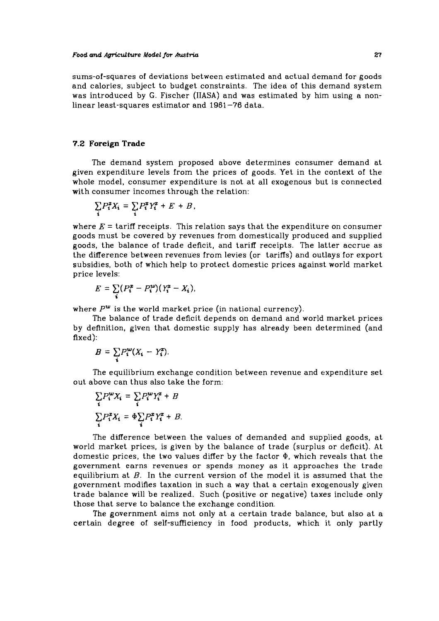sums-of-squares of deviations between estimated and actual demand for goods and calories, subject to budget constraints. The idea of this demand system was introduced by G. Fischer (IIASA) and was estimated by him using a nonlinear least-squares estimator and 1961-76 data.

### **7.2 Foreign Trade**

The demand system proposed above determines consumer demand at given expenditure levels from the prices of goods. Yet in the context of the whole model, consumer expenditure is not at all exogenous but is connected with consumer incomes through the relation:

$$
\sum_i P_i^x X_i = \sum_i P_i^x Y_i^x + E + B,
$$

where  $E = \text{tariff }$  receipts. This relation says that the expenditure on consumer goods must be covered by revenues from domestically produced and supplied goods, the balance of trade deficit, and tariff receipts. The latter accrue as the difference between revenues from levies (or tariffs) and outlays for export subsidies, both of which help to protect domestic prices against world market price levels:

$$
E = \sum_i (P_i^z - P_i^w)(Y_i^z - X_i),
$$

where  $P^{\omega}$  is the world market price (in national currency).

The balance of trade deficit depends on demand and world market prices by definition, given that domestic supply has already been determined (and fixed):

$$
B = \sum_i P_i^{\mathbf{w}} (X_i - Y_i^{\mathbf{z}}).
$$

The equilibrium exchange condition between revenue and expenditure set out above can thus also take the form:

$$
\sum_{i} P_{i}^{w} X_{i} = \sum_{i} P_{i}^{w} Y_{i}^{x} + B
$$

$$
\sum_{i} P_{i}^{x} X_{i} = \Phi \sum_{i} P_{i}^{x} Y_{i}^{x} + B.
$$

The difference between the values of demanded and supplied goods, at world market prices, is given by the balance of trade (surplus or deficit). At domestic prices, the two values differ by the factor **a,** which reveals that the government earns revenues or spends money as it approaches the trade equilibrium at  $B$ . In the current version of the model it is assumed that the government modifies taxation in such a way that a certain exogenously given trade balance will be realized. Such (positive or negative) taxes include only those that serve to balance the exchange condition.

The government aims not only at a certain trade balance, but also at a certain degree of self-sufficiency in food products, which it only partly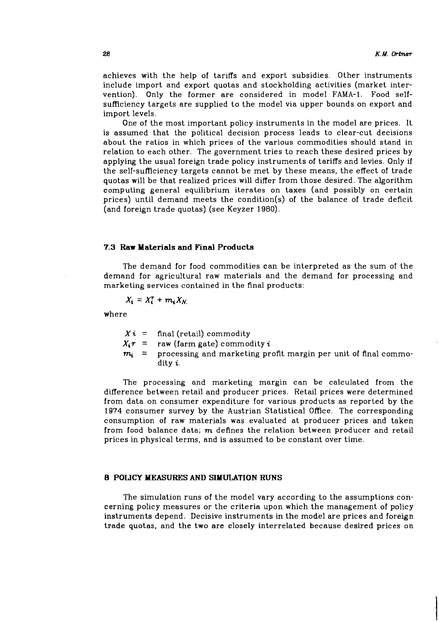achieves with the help of tariffs and export subsidies. Other instruments include import and export quotas and stockholding activities (market intervention). Only the former are considered in model FAMA-1. Food selfsufficiency targets are supplied to the model via upper bounds on export and import levels.

One of the most important policy instruments in the model are prices. It is assumed that the political decision process leads to clear-cut decisions about the ratios in which prices of the various commodities should stand in relation to each other. The government tries to reach these desired prices by applying the usual foreign trade policy instruments of tariffs and levies. Only if the self-sufficiency targets cannot be met by these means, the effect of trade quotas will be that realized prices will differ from those desired. The algorithm computing general equilibrium iterates on taxes (and possibly on certain prices) until demand meets the condition(s) of the balance of trade deficit (and foreign trade quotas) (see Keyzer 1980).

#### **7.3 Raw Materials and Final Products**

The demand for food commodities can be interpreted as the sum of the demand for agricultural raw materials and the demand for processing and marketing services contained in the final products:

$$
X_i = X_i^T + m_i X_N
$$

where

 $Xi = \text{final (retail) commodity}$ 

 $X_i \tau$  = raw (farm gate) commodity *i* 

 $m_i$  = processing and marketing profit margin per unit of final commodity **i.** 

The processing and marketing margin can be calculated from the difference between retail and producer prices. Retail prices were determined from data on consumer expenditure for various products as reported by the 1974 consumer survey by the Austrian Statistical Office. The corresponding consumption of raw materials was evaluated at producer prices and taken from food balance data;  $m$  defines the relation between producer and retail prices in physical terms, and is assumed to be constant over time.

### **8 POLICY MEASURES AND SIMULATION RUNS**

The simulation runs of the model vary according to the assumptions concerning policy measures or the criteria upon which the management of policy instruments depend. Decisive instruments in the model are prices and foreign trade quotas, and the two are closely interrelated because desired prices on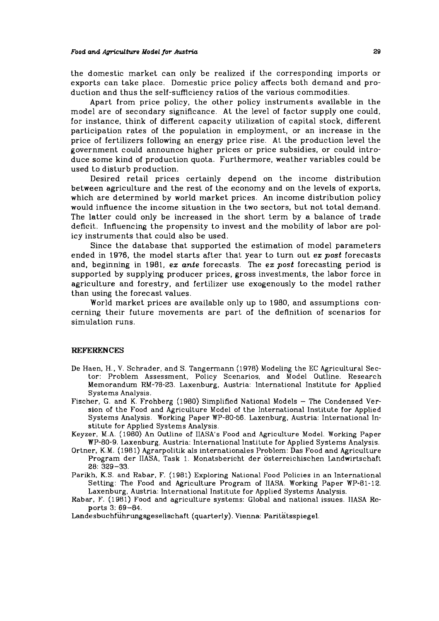the domestic market can only be realized if the corresponding imports or exports can take place. Domestic price policy affects both demand and production and thus the self-sufficiency ratios of the various commodities.

Apart from price policy, the other policy instruments available in the model are of secondary significance. At the level of factor supply one could, for instance, think of different capacity utilization of capital stock, different participation rates of the population in employment, or an increase in the price of fertilizers following an energy price rise. At the production level the government could announce higher prices or price subsidies, or could introduce some kind of production quota. Furthermore, weather variables could be used to disturb production.

Desired retail prices certainly depend on the income distribution between agriculture and the rest of the economy and on the levels of exports, which are determined by world market prices. An income distribution policy would influence the income situation in the two sectors, but not total demand. The latter could only be increased in the short term by a balance of trade deficit. Influencing the propensity to invest and the mobility of labor are policy instruments that could also be used.

Since the database that supported the estimation of model parameters ended in 1976, the model starts after that year to turn out **ez** *post* forecasts and, beginning in 1981, **ex ante** forecasts. The **ez** *post* forecasting period is supported by supplying producer prices, gross investments, the labor force in agriculture and forestry, and fertilizer use exogenously to the model rather than using the forecast values.

World market prices are available only up to 1980, and assumptions concerning their future movements are part of the definition of scenarios for simulation runs.

#### **REFERENCES**

- De Haen, H.. V. Schrader, and S. Tangerrnann (1978) Modeling the EC Agricultural Sector: Problem Assessment. Policy Scenarios, and Model Outline. Research Memorandum RM-78-23. Laxenburg. Austria: lnternational Institute for Applied Systems Analysis.
- Fischer, G. and K. Frohberg (1980) Simplified National Models The Condensed Version of the Food and Agriculture Model of the International Institute for Applied Systems Analysis. Working Paper WP-80-56. Laxenburg, Austria: International Institute for Applied Systems Analysis.
- Keyzer, M.A. (1980) An Outline ol IIASA's Food and Agriculture Model. Working Paper WP-80-9. Laxenburg, Austria: International Institute lor Applied Systems Analysis.
- Ortner, K.M. (1981) Agrarpolitik als internationales Problem: Das Food and Agriculture Program der IIASA, Task 1. Monatsbericht der osterreichischen Landwirtschaft 28: 329-33.
- Parikh, K.S. and Rabar, F. (1981) Exploring National Food Policies in an International Setting: The Food and Agriculture Program of IIASA. Working Paper WP-81-12. Laxenburg, Austria: International Institute for Applied Systems Analysis.
- Rabar, P. (1981) Food and agriculture systems: Global and national issues. IIASA Reports 3: 69-84.

**Landesbuchfiihrungsgesellschaft** (quarterly). Vienna: Paritatsspiegel.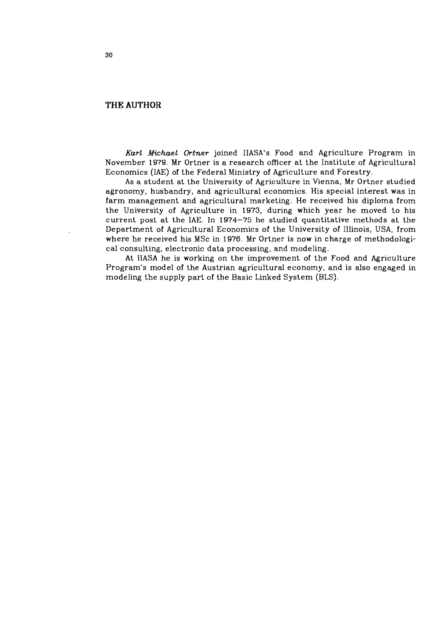# **THE AUTHOR**

*Karl Michael Ortner* joined IIASA's Food and Agriculture Program in November 1979. Mr Ortner is a research oficer at the Institute of Agricultural Economics (IAE) of the Federal Ministry of Agriculture and Forestry.

As a student at the University of Agriculture in Vienna, Mr Ortner studied agronomy, husbandry, and agricultural economics. His special interest was in farm management and agricultural marketing. He received his diploma from the University of Agriculture in 1973, during which year he moved to his current post at the IAE. In 1974-75 he studied quantitative methods at the Department of Agricultural Economics of the University of Illinois, USA, from where he received his MSc in 1976. Mr Ortner is now in charge of methodological consulting, electronic data processing, and modeling.

At IIASA he is working on the improvement of the Food and Agriculture Program's model of the Austrian agricultural economy, and is also engaged in modeling the supply part of the Basic Linked System (BLS).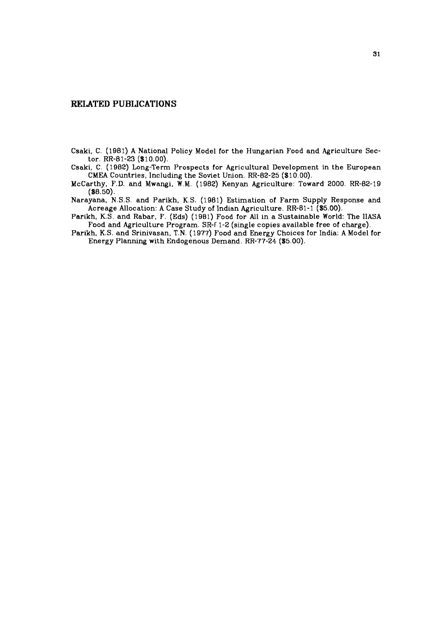### **RELATED PUBLICATIONS**

Csaki, C. (1981) A National Policy Model for the Hungarian Food and Agriculture Sector. RR-81-23 (\$10.00).

Csaki, C. (1982) Long-Term Prospects for Agricultural Development in the European CMEA Countries, Including the Soviet Union. RR-82-25 (\$10.00).

 $McCarthy, F.D. and Mwangi, W.M. (1982) Kenyan Agriculture: Toward 2000. RR-82-19$ (88.50).

Narayana, N.S.S. and Parikh, K.S. (1981) Estimation of Farm Supply Response and Acreage Allocation: A Case Study of Indian Agriculture. RR-81-1 (\$5.00).

Parikh, K.S. and Rabar, F. (Eds) (1981) Food for All in a Sustainable World: The IlASA Food and Agriculture Program. SR-f 1-2 (single copies available free of charge).

Parikh, K.S. and Srinivasan, T.N. (1977) Food and Energy Choices for India: A Model for Energy Planning with Endogenous Demand. RR-77-24 (\$5.00).